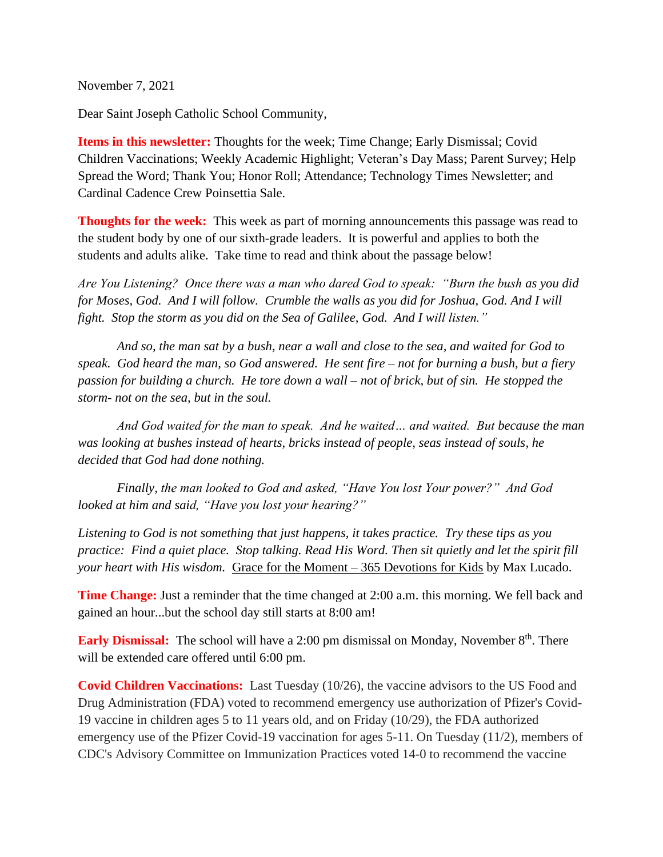November 7, 2021

Dear Saint Joseph Catholic School Community,

**Items in this newsletter:** Thoughts for the week; Time Change; Early Dismissal; Covid Children Vaccinations; Weekly Academic Highlight; Veteran's Day Mass; Parent Survey; Help Spread the Word; Thank You; Honor Roll; Attendance; Technology Times Newsletter; and Cardinal Cadence Crew Poinsettia Sale.

**Thoughts for the week:** This week as part of morning announcements this passage was read to the student body by one of our sixth-grade leaders. It is powerful and applies to both the students and adults alike. Take time to read and think about the passage below!

*Are You Listening? Once there was a man who dared God to speak: "Burn the bush as you did for Moses, God. And I will follow. Crumble the walls as you did for Joshua, God. And I will fight. Stop the storm as you did on the Sea of Galilee, God. And I will listen."* 

*And so, the man sat by a bush, near a wall and close to the sea, and waited for God to speak. God heard the man, so God answered. He sent fire – not for burning a bush, but a fiery passion for building a church. He tore down a wall – not of brick, but of sin. He stopped the storm- not on the sea, but in the soul.* 

*And God waited for the man to speak. And he waited… and waited. But because the man was looking at bushes instead of hearts, bricks instead of people, seas instead of souls, he decided that God had done nothing.* 

*Finally, the man looked to God and asked, "Have You lost Your power?" And God looked at him and said, "Have you lost your hearing?"* 

*Listening to God is not something that just happens, it takes practice. Try these tips as you practice: Find a quiet place. Stop talking. Read His Word. Then sit quietly and let the spirit fill your heart with His wisdom.* Grace for the Moment – 365 Devotions for Kids by Max Lucado.

**Time Change:** Just a reminder that the time changed at 2:00 a.m. this morning. We fell back and gained an hour...but the school day still starts at 8:00 am!

**Early Dismissal:** The school will have a 2:00 pm dismissal on Monday, November 8<sup>th</sup>. There will be extended care offered until 6:00 pm.

**Covid Children Vaccinations:** Last Tuesday (10/26), the vaccine advisors to the US Food and Drug Administration (FDA) voted to recommend emergency use authorization of Pfizer's Covid-19 vaccine in children ages 5 to 11 years old, and on Friday (10/29), the FDA authorized emergency use of the Pfizer Covid-19 vaccination for ages 5-11. On Tuesday (11/2), members of CDC's Advisory Committee on Immunization Practices voted 14-0 to recommend the vaccine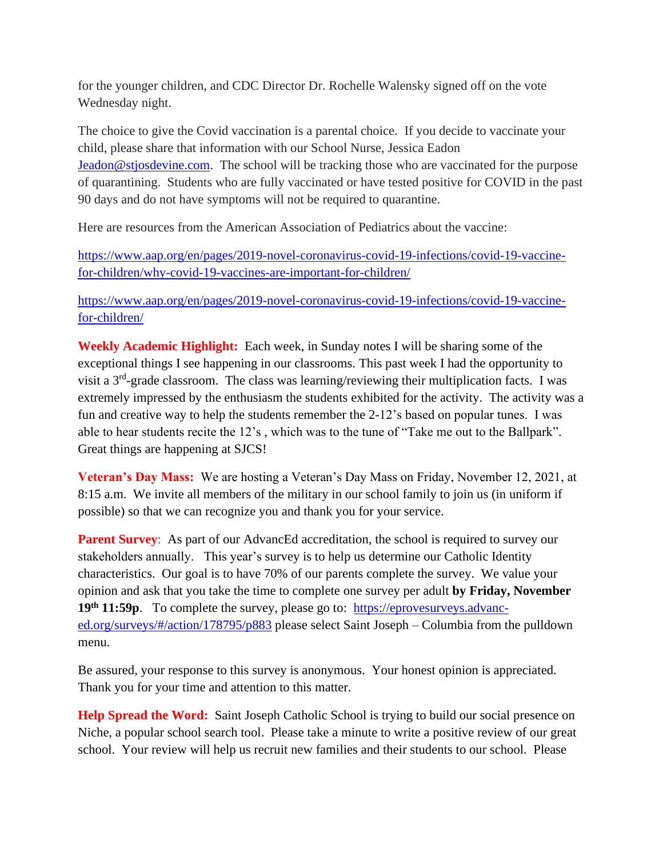for the younger children, and CDC Director Dr. Rochelle Walensky signed off on the vote Wednesday night.

The choice to give the Covid vaccination is a parental choice. If you decide to vaccinate your child, please share that information with our School Nurse, Jessica Eadon [Jeadon@stjosdevine.com.](mailto:Jeadon@stjosdevine.com) The school will be tracking those who are vaccinated for the purpose of quarantining. Students who are fully vaccinated or have tested positive for COVID in the past 90 days and do not have symptoms will not be required to quarantine.

Here are resources from the American Association of Pediatrics about the vaccine:

[https://www.aap.org/en/pages/2019-novel-coronavirus-covid-19-infections/covid-19-vaccine](https://www.aap.org/en/pages/2019-novel-coronavirus-covid-19-infections/covid-19-vaccine-for-children/why-covid-19-vaccines-are-important-for-children/)[for-children/why-covid-19-vaccines-are-important-for-children/](https://www.aap.org/en/pages/2019-novel-coronavirus-covid-19-infections/covid-19-vaccine-for-children/why-covid-19-vaccines-are-important-for-children/)

[https://www.aap.org/en/pages/2019-novel-coronavirus-covid-19-infections/covid-19-vaccine](https://www.aap.org/en/pages/2019-novel-coronavirus-covid-19-infections/covid-19-vaccine-for-children/)[for-children/](https://www.aap.org/en/pages/2019-novel-coronavirus-covid-19-infections/covid-19-vaccine-for-children/)

**Weekly Academic Highlight:** Each week, in Sunday notes I will be sharing some of the exceptional things I see happening in our classrooms. This past week I had the opportunity to visit a  $3<sup>rd</sup>$ -grade classroom. The class was learning/reviewing their multiplication facts. I was extremely impressed by the enthusiasm the students exhibited for the activity. The activity was a fun and creative way to help the students remember the 2-12's based on popular tunes. I was able to hear students recite the 12's , which was to the tune of "Take me out to the Ballpark". Great things are happening at SJCS!

**Veteran's Day Mass:** We are hosting a Veteran's Day Mass on Friday, November 12, 2021, at 8:15 a.m. We invite all members of the military in our school family to join us (in uniform if possible) so that we can recognize you and thank you for your service.

**Parent Survey:** As part of our AdvancEd accreditation, the school is required to survey our stakeholders annually. This year's survey is to help us determine our Catholic Identity characteristics. Our goal is to have 70% of our parents complete the survey. We value your opinion and ask that you take the time to complete one survey per adult **by Friday, November 19th 11:59p**. To complete the survey, please go to: [https://eprovesurveys.advanc](https://eprovesurveys.advanc-ed.org/surveys/#/action/178795/p883)[ed.org/surveys/#/action/178795/p883](https://eprovesurveys.advanc-ed.org/surveys/#/action/178795/p883) please select Saint Joseph – Columbia from the pulldown menu.

Be assured, your response to this survey is anonymous. Your honest opinion is appreciated. Thank you for your time and attention to this matter.

**Help Spread the Word:** Saint Joseph Catholic School is trying to build our social presence on Niche, a popular school search tool. Please take a minute to write a positive review of our great school. Your review will help us recruit new families and their students to our school. Please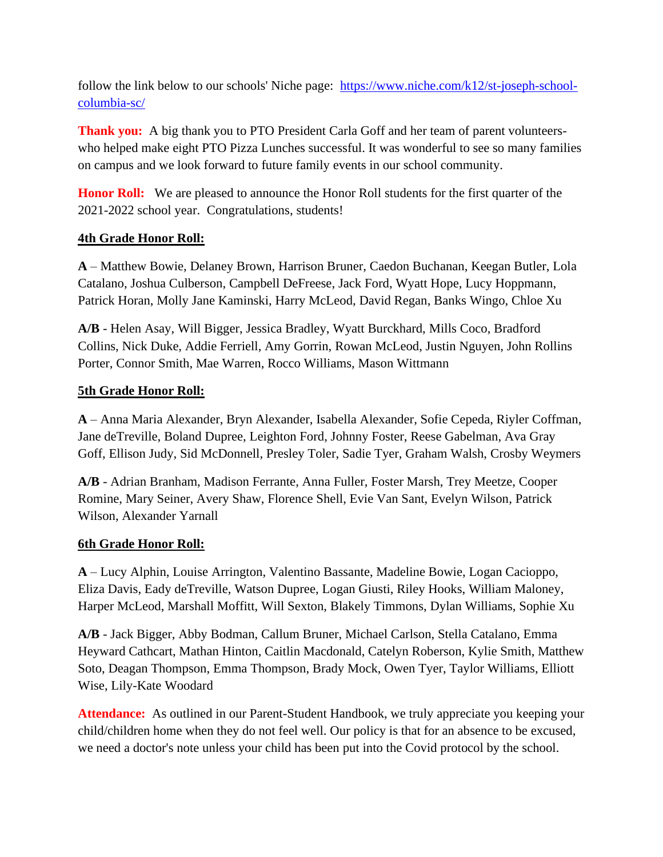follow the link below to our schools' Niche page: [https://www.niche.com/k12/st-joseph-school](https://www.niche.com/k12/st-joseph-school-columbia-sc/)[columbia-sc/](https://www.niche.com/k12/st-joseph-school-columbia-sc/)

**Thank you:** A big thank you to PTO President Carla Goff and her team of parent volunteerswho helped make eight PTO Pizza Lunches successful. It was wonderful to see so many families on campus and we look forward to future family events in our school community.

**Honor Roll:** We are pleased to announce the Honor Roll students for the first quarter of the 2021-2022 school year. Congratulations, students!

## **4th Grade Honor Roll:**

**A** – Matthew Bowie, Delaney Brown, Harrison Bruner, Caedon Buchanan, Keegan Butler, Lola Catalano, Joshua Culberson, Campbell DeFreese, Jack Ford, Wyatt Hope, Lucy Hoppmann, Patrick Horan, Molly Jane Kaminski, Harry McLeod, David Regan, Banks Wingo, Chloe Xu

**A/B** - Helen Asay, Will Bigger, Jessica Bradley, Wyatt Burckhard, Mills Coco, Bradford Collins, Nick Duke, Addie Ferriell, Amy Gorrin, Rowan McLeod, Justin Nguyen, John Rollins Porter, Connor Smith, Mae Warren, Rocco Williams, Mason Wittmann

## **5th Grade Honor Roll:**

**A** – Anna Maria Alexander, Bryn Alexander, Isabella Alexander, Sofie Cepeda, Riyler Coffman, Jane deTreville, Boland Dupree, Leighton Ford, Johnny Foster, Reese Gabelman, Ava Gray Goff, Ellison Judy, Sid McDonnell, Presley Toler, Sadie Tyer, Graham Walsh, Crosby Weymers

**A/B** - Adrian Branham, Madison Ferrante, Anna Fuller, Foster Marsh, Trey Meetze, Cooper Romine, Mary Seiner, Avery Shaw, Florence Shell, Evie Van Sant, Evelyn Wilson, Patrick Wilson, Alexander Yarnall

## **6th Grade Honor Roll:**

**A** – Lucy Alphin, Louise Arrington, Valentino Bassante, Madeline Bowie, Logan Cacioppo, Eliza Davis, Eady deTreville, Watson Dupree, Logan Giusti, Riley Hooks, William Maloney, Harper McLeod, Marshall Moffitt, Will Sexton, Blakely Timmons, Dylan Williams, Sophie Xu

**A/B** - Jack Bigger, Abby Bodman, Callum Bruner, Michael Carlson, Stella Catalano, Emma Heyward Cathcart, Mathan Hinton, Caitlin Macdonald, Catelyn Roberson, Kylie Smith, Matthew Soto, Deagan Thompson, Emma Thompson, Brady Mock, Owen Tyer, Taylor Williams, Elliott Wise, Lily-Kate Woodard

Attendance: As outlined in our Parent-Student Handbook, we truly appreciate you keeping your child/children home when they do not feel well. Our policy is that for an absence to be excused, we need a doctor's note unless your child has been put into the Covid protocol by the school.